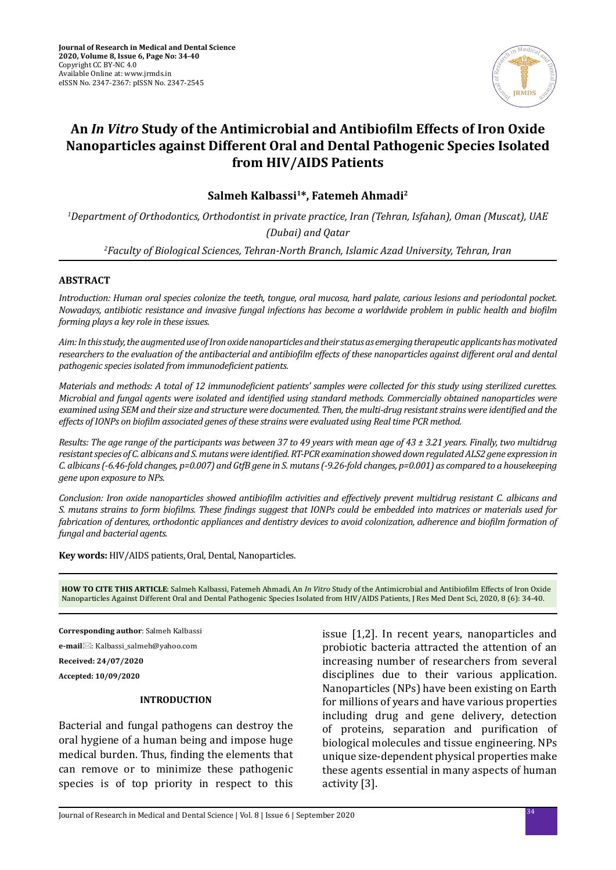

# **An** *In Vitro* **Study of the Antimicrobial and Antibiofilm Effects of Iron Oxide Nanoparticles against Different Oral and Dental Pathogenic Species Isolated from HIV/AIDS Patients**

**Salmeh Kalbassi1\*, Fatemeh Ahmadi2**

*1 Department of Orthodontics, Orthodontist in private practice, Iran (Tehran, Isfahan), Oman (Muscat), UAE (Dubai) and Qatar 2 Faculty of Biological Sciences, Tehran-North Branch, Islamic Azad University, Tehran, Iran*

#### **ABSTRACT**

*Introduction: Human oral species colonize the teeth, tongue, oral mucosa, hard palate, carious lesions and periodontal pocket. Nowadays, antibiotic resistance and invasive fungal infections has become a worldwide problem in public health and biofilm forming plays a key role in these issues.*

*Aim: In this study, the augmented use of Iron oxide nanoparticles and their status as emerging therapeutic applicants has motivated researchers to the evaluation of the antibacterial and antibiofilm effects of these nanoparticles against different oral and dental pathogenic species isolated from immunodeficient patients.*

*Materials and methods: A total of 12 immunodeficient patients' samples were collected for this study using sterilized curettes. Microbial and fungal agents were isolated and identified using standard methods. Commercially obtained nanoparticles were examined using SEM and their size and structure were documented. Then, the multi-drug resistant strains were identified and the effects of IONPs on biofilm associated genes of these strains were evaluated using Real time PCR method.*

*Results: The age range of the participants was between 37 to 49 years with mean age of 43 ± 3.21 years. Finally, two multidrug resistant species of C. albicans and S. mutans were identified. RT-PCR examination showed down regulated ALS2 gene expression in C. albicans (-6.46-fold changes, p=0.007) and GtfB gene in S. mutans (-9.26-fold changes, p=0.001) as compared to a housekeeping gene upon exposure to NPs.*

*Conclusion: Iron oxide nanoparticles showed antibiofilm activities and effectively prevent multidrug resistant C. albicans and S. mutans strains to form biofilms. These findings suggest that IONPs could be embedded into matrices or materials used for fabrication of dentures, orthodontic appliances and dentistry devices to avoid colonization, adherence and biofilm formation of fungal and bacterial agents.*

**Key words:** HIV/AIDS patients, Oral, Dental, Nanoparticles.

**HOW TO CITE THIS ARTICLE**: Salmeh Kalbassi, Fatemeh Ahmadi, An *In Vitro* Study of the Antimicrobial and Antibiofilm Effects of Iron Oxide Nanoparticles Against Different Oral and Dental Pathogenic Species Isolated from HIV/AIDS Patients, J Res Med Dent Sci, 2020, 8 (6): 34-40.

**Corresponding author**: Salmeh Kalbassi **e-mail**: Kalbassi\_salmeh@yahoo.com **Received: 24/07/2020 Accepted: 10/09/2020**

#### **INTRODUCTION**

Bacterial and fungal pathogens can destroy the oral hygiene of a human being and impose huge medical burden. Thus, finding the elements that can remove or to minimize these pathogenic species is of top priority in respect to this issue [1,2]. In recent years, nanoparticles and probiotic bacteria attracted the attention of an increasing number of researchers from several disciplines due to their various application. Nanoparticles (NPs) have been existing on Earth for millions of years and have various properties including drug and gene delivery, detection of proteins, separation and purification of biological molecules and tissue engineering. NPs unique size-dependent physical properties make these agents essential in many aspects of human activity [3].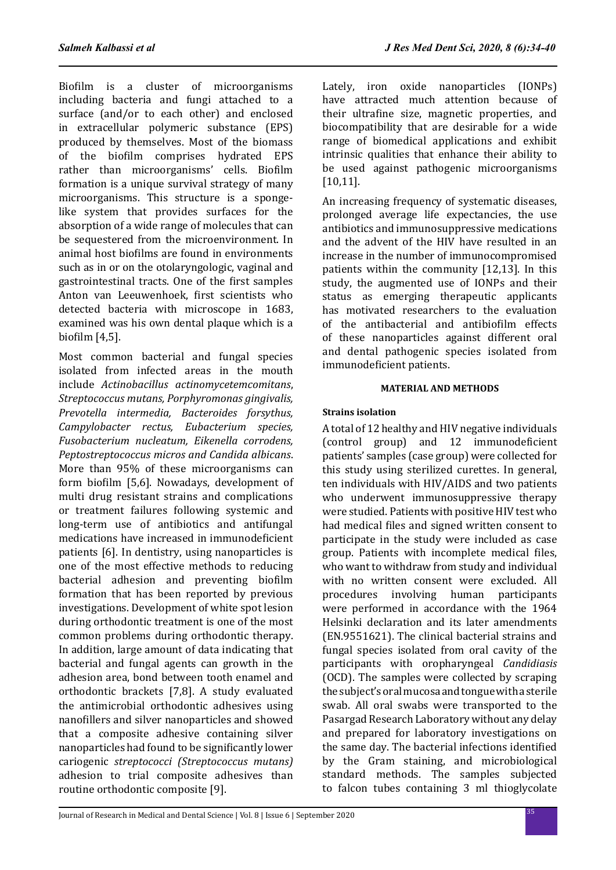Biofilm is a cluster of microorganisms including bacteria and fungi attached to a surface (and/or to each other) and enclosed in extracellular polymeric substance (EPS) produced by themselves. Most of the biomass of the biofilm comprises hydrated EPS rather than microorganisms' cells. Biofilm formation is a unique survival strategy of many microorganisms. This structure is a spongelike system that provides surfaces for the absorption of a wide range of molecules that can be sequestered from the microenvironment. In animal host biofilms are found in environments such as in or on the otolaryngologic, vaginal and gastrointestinal tracts. One of the first samples Anton van Leeuwenhoek, first scientists who detected bacteria with microscope in 1683, examined was his own dental plaque which is a biofilm [4,5].

Most common bacterial and fungal species isolated from infected areas in the mouth include *Actinobacillus actinomycetemcomitans*, *Streptococcus mutans, Porphyromonas gingivalis, Prevotella intermedia, Bacteroides forsythus, Campylobacter rectus, Eubacterium species, Fusobacterium nucleatum, Eikenella corrodens, Peptostreptococcus micros and Candida albicans*. More than 95% of these microorganisms can form biofilm [5,6]. Nowadays, development of multi drug resistant strains and complications or treatment failures following systemic and long-term use of antibiotics and antifungal medications have increased in immunodeficient patients [6]. In dentistry, using nanoparticles is one of the most effective methods to reducing bacterial adhesion and preventing biofilm formation that has been reported by previous investigations. Development of white spot lesion during orthodontic treatment is one of the most common problems during orthodontic therapy. In addition, large amount of data indicating that bacterial and fungal agents can growth in the adhesion area, bond between tooth enamel and orthodontic brackets [7,8]. A study evaluated the antimicrobial orthodontic adhesives using nanofillers and silver nanoparticles and showed that a composite adhesive containing silver nanoparticles had found to be significantly lower cariogenic *streptococci (Streptococcus mutans)* adhesion to trial composite adhesives than routine orthodontic composite [9].

Lately, iron oxide nanoparticles (IONPs) have attracted much attention because of their ultrafine size, magnetic properties, and biocompatibility that are desirable for a wide range of biomedical applications and exhibit intrinsic qualities that enhance their ability to be used against pathogenic microorganisms [10,11].

An increasing frequency of systematic diseases, prolonged average life expectancies, the use antibiotics and immunosuppressive medications and the advent of the HIV have resulted in an increase in the number of immunocompromised patients within the community [12,13]. In this study, the augmented use of IONPs and their status as emerging therapeutic applicants has motivated researchers to the evaluation of the antibacterial and antibiofilm effects of these nanoparticles against different oral and dental pathogenic species isolated from immunodeficient patients.

#### **MATERIAL AND METHODS**

# **Strains isolation**

A total of 12 healthy and HIV negative individuals (control group) and 12 immunodeficient patients' samples (case group) were collected for this study using sterilized curettes. In general, ten individuals with HIV/AIDS and two patients who underwent immunosuppressive therapy were studied. Patients with positive HIV test who had medical files and signed written consent to participate in the study were included as case group. Patients with incomplete medical files, who want to withdraw from study and individual with no written consent were excluded. All procedures involving human participants were performed in accordance with the 1964 Helsinki declaration and its later amendments (EN.9551621). The clinical bacterial strains and fungal species isolated from oral cavity of the participants with oropharyngeal *Candidiasis* (OCD). The samples were collected by scraping the subject's oral mucosa and tongue with a sterile swab. All oral swabs were transported to the Pasargad Research Laboratory without any delay and prepared for laboratory investigations on the same day. The bacterial infections identified by the Gram staining, and microbiological standard methods. The samples subjected to falcon tubes containing 3 ml thioglycolate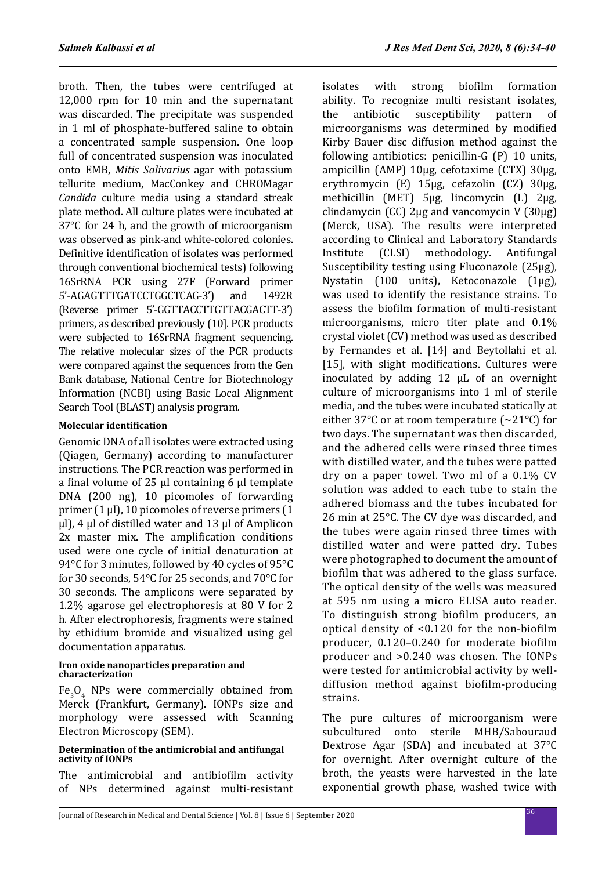broth. Then, the tubes were centrifuged at 12,000 rpm for 10 min and the supernatant was discarded. The precipitate was suspended in 1 ml of phosphate-buffered saline to obtain a concentrated sample suspension. One loop full of concentrated suspension was inoculated onto EMB, *Mitis Salivarius* agar with potassium tellurite medium, MacConkey and CHROMagar *Candida* culture media using a standard streak plate method. All culture plates were incubated at 37°C for 24 h, and the growth of microorganism was observed as pink-and white-colored colonies. Definitive identification of isolates was performed through conventional biochemical tests) following 16SrRNA PCR using 27F (Forward primer 5'-AGAGTTTGATCCTGGCTCAG-3') and 1492R (Reverse primer 5'-GGTTACCTTGTTACGACTT-3') primers, as described previously (10]. PCR products were subjected to 16SrRNA fragment sequencing. The relative molecular sizes of the PCR products were compared against the sequences from the Gen Bank database, National Centre for Biotechnology Information (NCBI) using Basic Local Alignment Search Tool (BLAST) analysis program.

# **Molecular identification**

Genomic DNA of all isolates were extracted using (Qiagen, Germany) according to manufacturer instructions. The PCR reaction was performed in a final volume of 25 μl containing 6 μl template DNA (200 ng), 10 picomoles of forwarding primer (1 μl), 10 picomoles of reverse primers (1 μl), 4 μl of distilled water and 13 μl of Amplicon 2x master mix. The amplification conditions used were one cycle of initial denaturation at 94°C for 3 minutes, followed by 40 cycles of 95°C for 30 seconds, 54°C for 25 seconds, and 70°C for 30 seconds. The amplicons were separated by 1.2% agarose gel electrophoresis at 80 V for 2 h. After electrophoresis, fragments were stained by ethidium bromide and visualized using gel documentation apparatus.

#### **Iron oxide nanoparticles preparation and characterization**

 $Fe<sub>3</sub>O<sub>4</sub>$  NPs were commercially obtained from Merck (Frankfurt, Germany). IONPs size and morphology were assessed with Scanning Electron Microscopy (SEM).

#### **Determination of the antimicrobial and antifungal activity of IONPs**

The antimicrobial and antibiofilm activity of NPs determined against multi-resistant isolates with strong biofilm formation ability. To recognize multi resistant isolates,<br>the antibiotic susceptibility pattern of the antibiotic susceptibility pattern of microorganisms was determined by modified Kirby Bauer disc diffusion method against the following antibiotics: penicillin-G (P) 10 units, ampicillin (AMP) 10μg, cefotaxime (CTX) 30μg, erythromycin (E) 15μg, cefazolin (CZ) 30μg, methicillin (MET) 5μg, lincomycin (L) 2μg, clindamycin (CC) 2μg and vancomycin V (30μg) (Merck, USA). The results were interpreted according to Clinical and Laboratory Standards<br>Institute (CLSI) methodology. Antifungal methodology. Antifungal Susceptibility testing using Fluconazole (25μg), Nystatin (100 units), Ketoconazole (1μg), was used to identify the resistance strains. To assess the biofilm formation of multi-resistant microorganisms, micro titer plate and 0.1% crystal violet (CV) method was used as described by Fernandes et al. [14] and Beytollahi et al. [15], with slight modifications. Cultures were inoculated by adding 12 µL of an overnight culture of microorganisms into 1 ml of sterile media, and the tubes were incubated statically at either 37 $\degree$ C or at room temperature ( $\sim$ 21 $\degree$ C) for two days. The supernatant was then discarded, and the adhered cells were rinsed three times with distilled water, and the tubes were patted dry on a paper towel. Two ml of a 0.1% CV solution was added to each tube to stain the adhered biomass and the tubes incubated for 26 min at 25°C. The CV dye was discarded, and the tubes were again rinsed three times with distilled water and were patted dry. Tubes were photographed to document the amount of biofilm that was adhered to the glass surface. The optical density of the wells was measured at 595 nm using a micro ELISA auto reader. To distinguish strong biofilm producers, an optical density of <0.120 for the non-biofilm producer, 0.120–0.240 for moderate biofilm producer and >0.240 was chosen. The IONPs were tested for antimicrobial activity by welldiffusion method against biofilm-producing strains.

The pure cultures of microorganism were subcultured onto sterile MHB/Sabouraud Dextrose Agar (SDA) and incubated at 37°C for overnight. After overnight culture of the broth, the yeasts were harvested in the late exponential growth phase, washed twice with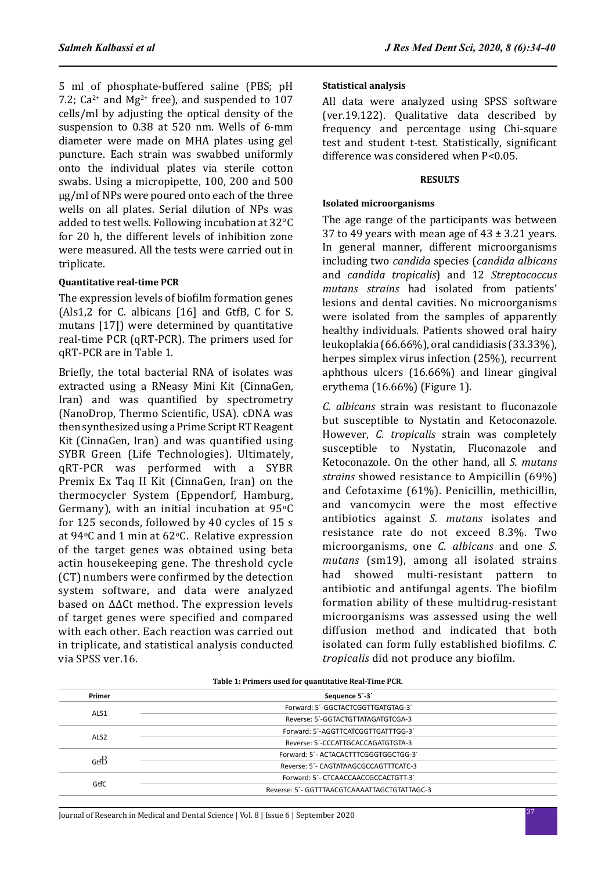5 ml of phosphate-buffered saline (PBS; pH 7.2;  $Ca^{2+}$  and  $Mg^{2+}$  free), and suspended to 107 cells/ml by adjusting the optical density of the suspension to 0.38 at 520 nm. Wells of 6-mm diameter were made on MHA plates using gel puncture. Each strain was swabbed uniformly onto the individual plates via sterile cotton swabs. Using a micropipette, 100, 200 and 500 μg/ml of NPs were poured onto each of the three wells on all plates. Serial dilution of NPs was added to test wells. Following incubation at 32°C for 20 h, the different levels of inhibition zone were measured. All the tests were carried out in triplicate.

# **Quantitative real-time PCR**

The expression levels of biofilm formation genes (Als1,2 for C. albicans [16] and GtfB, C for S. mutans [17]) were determined by quantitative real-time PCR (qRT-PCR). The primers used for qRT-PCR are in Table 1.

Briefly, the total bacterial RNA of isolates was extracted using a RNeasy Mini Kit (CinnaGen, Iran) and was quantified by spectrometry (NanoDrop, Thermo Scientific, USA). cDNA was then synthesized using a Prime Script RT Reagent Kit (CinnaGen, Iran) and was quantified using SYBR Green (Life Technologies). Ultimately, qRT-PCR was performed with a SYBR Premix Ex Taq II Kit (CinnaGen, Iran) on the thermocycler System (Eppendorf, Hamburg, Germany), with an initial incubation at 95ºC for 125 seconds, followed by 40 cycles of 15 s at 94ºC and 1 min at 62ºC. Relative expression of the target genes was obtained using beta actin housekeeping gene. The threshold cycle (CT) numbers were confirmed by the detection system software, and data were analyzed based on ∆∆Ct method. The expression levels of target genes were specified and compared with each other. Each reaction was carried out in triplicate, and statistical analysis conducted via SPSS ver.16.

# **Statistical analysis**

All data were analyzed using SPSS software (ver.19.122). Qualitative data described by frequency and percentage using Chi-square test and student t-test. Statistically, significant difference was considered when P<0.05.

#### **RESULTS**

#### **Isolated microorganisms**

The age range of the participants was between 37 to 49 years with mean age of  $43 \pm 3.21$  years. In general manner, different microorganisms including two *candida* species (*candida albicans* and *candida tropicalis*) and 12 *Streptococcus mutans strains* had isolated from patients' lesions and dental cavities. No microorganisms were isolated from the samples of apparently healthy individuals. Patients showed oral hairy leukoplakia (66.66%), oral candidiasis (33.33%), herpes simplex virus infection (25%), recurrent aphthous ulcers (16.66%) and linear gingival erythema (16.66%) (Figure 1).

*C. albicans* strain was resistant to fluconazole but susceptible to Nystatin and Ketoconazole. However, *C. tropicalis* strain was completely susceptible to Nystatin, Fluconazole and Ketoconazole. On the other hand, all *S. mutans strains* showed resistance to Ampicillin (69%) and Cefotaxime (61%). Penicillin, methicillin, and vancomycin were the most effective antibiotics against *S. mutans* isolates and resistance rate do not exceed 8.3%. Two microorganisms, one *C. albicans* and one *S. mutans* (sm19), among all isolated strains had showed multi-resistant pattern to antibiotic and antifungal agents. The biofilm formation ability of these multidrug-resistant microorganisms was assessed using the well diffusion method and indicated that both isolated can form fully established biofilms. *C. tropicalis* did not produce any biofilm.

| Primer           | Sequence 5'-3'                               |
|------------------|----------------------------------------------|
| ALS1             | Forward: 5'-GGCTACTCGGTTGATGTAG-3'           |
|                  | Reverse: 5'-GGTACTGTTATAGATGTCGA-3           |
|                  | Forward: 5'-AGGTTCATCGGTTGATTTGG-3'          |
| ALS <sub>2</sub> | Reverse: 5'-CCCATTGCACCAGATGTGTA-3           |
| $G$ tf $B$       | Forward: 5'- ACTACACTTTCGGGTGGCTGG-3'        |
|                  | Reverse: 5'- CAGTATAAGCGCCAGTTTCATC-3        |
|                  | Forward: 5'- CTCAACCAACCGCCACTGTT-3'         |
| GtfC             | Reverse: 5'- GGTTTAACGTCAAAATTAGCTGTATTAGC-3 |

#### **Table 1: Primers used for quantitative Real-Time PCR.**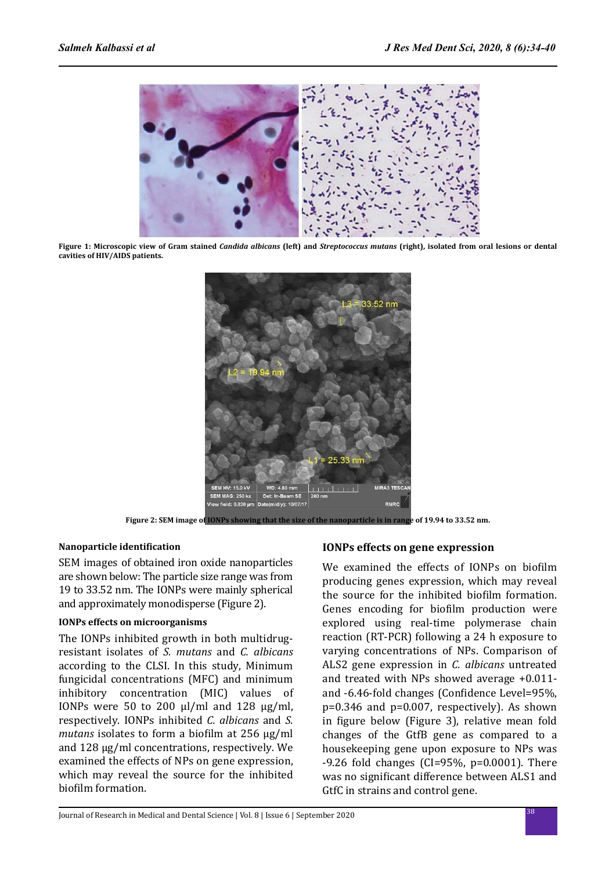

**Figure 1: Microscopic view of Gram stained** *Candida albicans* **(left) and** *Streptococcus mutans* **(right), isolated from oral lesions or dental cavities of HIV/AIDS patients.**



**Figure 2: SEM image of IONPs showing that the size of the nanoparticle is in range of 19.94 to 33.52 nm.**

# **Nanoparticle identification**

SEM images of obtained iron oxide nanoparticles are shown below: The particle size range was from 19 to 33.52 nm. The IONPs were mainly spherical and approximately monodisperse (Figure 2).

# **IONPs effects on microorganisms**

The IONPs inhibited growth in both multidrugresistant isolates of *S. mutans* and *C. albicans* according to the CLSI. In this study, Minimum fungicidal concentrations (MFC) and minimum inhibitory concentration (MIC) values of IONPs were 50 to 200  $\mu$ l/ml and 128  $\mu$ g/ml, respectively. IONPs inhibited *C. albicans* and *S. mutans* isolates to form a biofilm at 256 μg/ml and 128 μg/ml concentrations, respectively. We examined the effects of NPs on gene expression, which may reveal the source for the inhibited biofilm formation.

# **IONPs effects on gene expression**

We examined the effects of IONPs on biofilm producing genes expression, which may reveal the source for the inhibited biofilm formation. Genes encoding for biofilm production were explored using real-time polymerase chain reaction (RT-PCR) following a 24 h exposure to varying concentrations of NPs. Comparison of ALS2 gene expression in *C. albicans* untreated and treated with NPs showed average +0.011 and -6.46-fold changes (Confidence Level=95%, p=0.346 and p=0.007, respectively). As shown in figure below (Figure 3), relative mean fold changes of the GtfB gene as compared to a housekeeping gene upon exposure to NPs was  $-9.26$  fold changes (CI=95%, p=0.0001). There was no significant difference between ALS1 and GtfC in strains and control gene.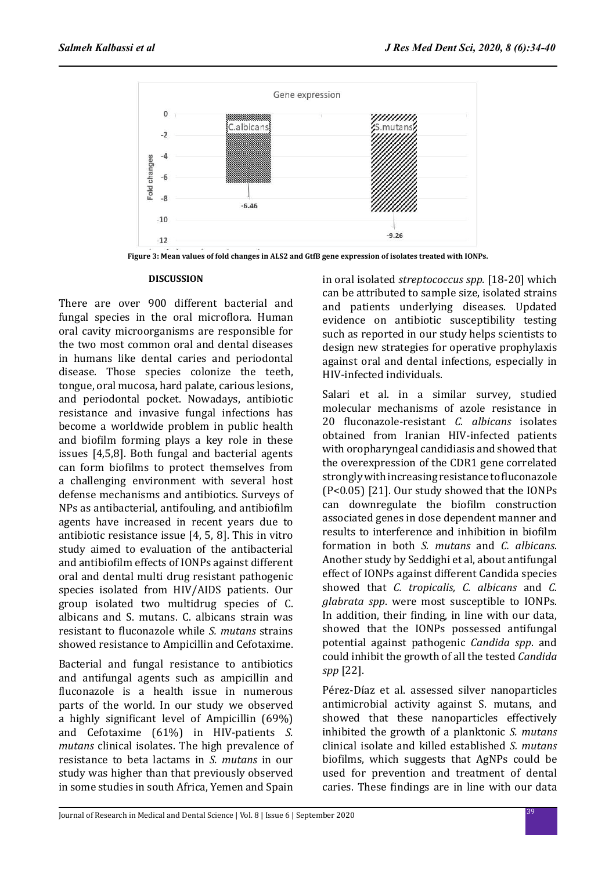

**Figure 3: Mean values of fold changes in ALS2 and GtfB gene expression of isolates treated with IONPs.**

#### **DISCUSSION**

There are over 900 different bacterial and fungal species in the oral microflora. Human oral cavity microorganisms are responsible for the two most common oral and dental diseases in humans like dental caries and periodontal disease. Those species colonize the teeth, tongue, oral mucosa, hard palate, carious lesions, and periodontal pocket. Nowadays, antibiotic resistance and invasive fungal infections has become a worldwide problem in public health and biofilm forming plays a key role in these issues [4,5,8]. Both fungal and bacterial agents can form biofilms to protect themselves from a challenging environment with several host defense mechanisms and antibiotics. Surveys of NPs as antibacterial, antifouling, and antibiofilm agents have increased in recent years due to antibiotic resistance issue [4, 5, 8]. This in vitro study aimed to evaluation of the antibacterial and antibiofilm effects of IONPs against different oral and dental multi drug resistant pathogenic species isolated from HIV/AIDS patients. Our group isolated two multidrug species of C. albicans and S. mutans. C. albicans strain was resistant to fluconazole while *S. mutans* strains showed resistance to Ampicillin and Cefotaxime.

Bacterial and fungal resistance to antibiotics and antifungal agents such as ampicillin and fluconazole is a health issue in numerous parts of the world. In our study we observed a highly significant level of Ampicillin (69%) and Cefotaxime (61%) in HIV-patients *S. mutans* clinical isolates. The high prevalence of resistance to beta lactams in *S. mutans* in our study was higher than that previously observed in some studies in south Africa, Yemen and Spain in oral isolated *streptococcus spp.* [18-20] which can be attributed to sample size, isolated strains and patients underlying diseases. Updated evidence on antibiotic susceptibility testing such as reported in our study helps scientists to design new strategies for operative prophylaxis against oral and dental infections, especially in HIV-infected individuals.

Salari et al. in a similar survey, studied molecular mechanisms of azole resistance in 20 fluconazole-resistant *C. albicans* isolates obtained from Iranian HIV-infected patients with oropharyngeal candidiasis and showed that the overexpression of the CDR1 gene correlated strongly with increasing resistance to fluconazole (P<0.05) [21]. Our study showed that the IONPs can downregulate the biofilm construction associated genes in dose dependent manner and results to interference and inhibition in biofilm formation in both *S. mutans* and *C. albicans*. Another study by Seddighi et al, about antifungal effect of IONPs against different Candida species showed that *C. tropicalis, C. albicans* and *C. glabrata spp*. were most susceptible to IONPs. In addition, their finding, in line with our data, showed that the IONPs possessed antifungal potential against pathogenic *Candida spp*. and could inhibit the growth of all the tested *Candida spp* [22].

Pérez-Díaz et al. assessed silver nanoparticles antimicrobial activity against S. mutans, and showed that these nanoparticles effectively inhibited the growth of a planktonic *S. mutans* clinical isolate and killed established *S. mutans* biofilms, which suggests that AgNPs could be used for prevention and treatment of dental caries. These findings are in line with our data